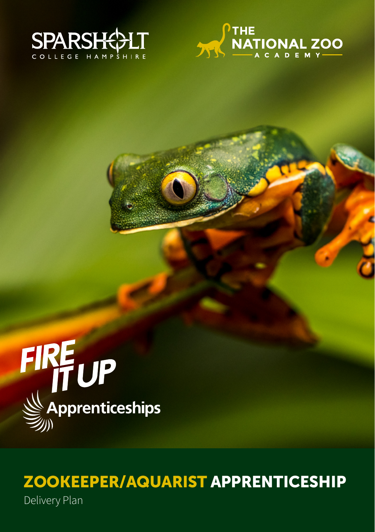





# ZOOKEEPER/AQUARIST APPRENTICESHIP

Delivery Plan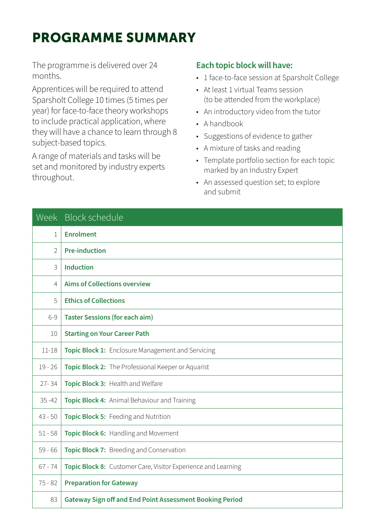### PROGRAMME SUMMARY

The programme is delivered over 24 months.

Apprentices will be required to attend Sparsholt College 10 times (5 times per year) for face-to-face theory workshops to include practical application, where they will have a chance to learn through 8 subject-based topics.

A range of materials and tasks will be set and monitored by industry experts throughout.

#### **Each topic block will have:**

- 1 face-to-face session at Sparsholt College
- At least 1 virtual Teams session (to be attended from the workplace)
- An introductory video from the tutor
- A handbook
- Suggestions of evidence to gather
- A mixture of tasks and reading
- Template portfolio section for each topic marked by an Industry Expert
- An assessed question set; to explore and submit

|               | Week Block schedule                                             |
|---------------|-----------------------------------------------------------------|
| 1             | <b>Enrolment</b>                                                |
| $\mathcal{P}$ | <b>Pre-induction</b>                                            |
| 3             | <b>Induction</b>                                                |
| 4             | <b>Aims of Collections overview</b>                             |
| 5             | <b>Ethics of Collections</b>                                    |
| $6-9$         | <b>Taster Sessions (for each aim)</b>                           |
| 10            | <b>Starting on Your Career Path</b>                             |
| $11 - 18$     | Topic Block 1: Enclosure Management and Servicing               |
| $19 - 26$     | Topic Block 2: The Professional Keeper or Aquarist              |
| $27 - 34$     | Topic Block 3: Health and Welfare                               |
| $35 - 42$     | Topic Block 4: Animal Behaviour and Training                    |
| $43 - 50$     | Topic Block 5: Feeding and Nutrition                            |
| $51 - 58$     | Topic Block 6: Handling and Movement                            |
| $59 - 66$     | Topic Block 7: Breeding and Conservation                        |
| $67 - 74$     | Topic Block 8: Customer Care, Visitor Experience and Learning   |
| $75 - 82$     | <b>Preparation for Gateway</b>                                  |
| 83            | <b>Gateway Sign off and End Point Assessment Booking Period</b> |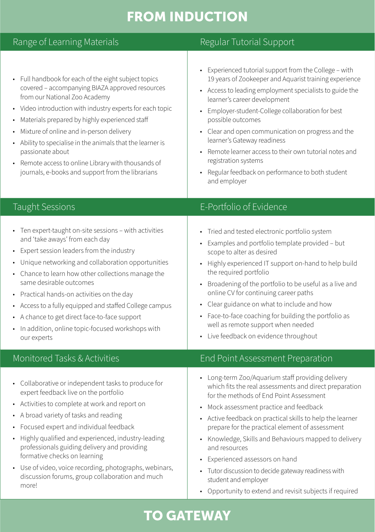# FROM INDUCTION

| Range of Learning Materials                                                                                                                                                                                                                                                                                                                                                                                                                                                                                 | Regular Tutorial Support                                                                                                                                                                                                                                                                                                                                                                                                                                                                                                                                                  |
|-------------------------------------------------------------------------------------------------------------------------------------------------------------------------------------------------------------------------------------------------------------------------------------------------------------------------------------------------------------------------------------------------------------------------------------------------------------------------------------------------------------|---------------------------------------------------------------------------------------------------------------------------------------------------------------------------------------------------------------------------------------------------------------------------------------------------------------------------------------------------------------------------------------------------------------------------------------------------------------------------------------------------------------------------------------------------------------------------|
| • Full handbook for each of the eight subject topics<br>covered - accompanying BIAZA approved resources<br>from our National Zoo Academy<br>• Video introduction with industry experts for each topic<br>• Materials prepared by highly experienced staff<br>• Mixture of online and in-person delivery<br>• Ability to specialise in the animals that the learner is<br>passionate about<br>• Remote access to online Library with thousands of<br>journals, e-books and support from the librarians       | • Experienced tutorial support from the College - with<br>19 years of Zookeeper and Aquarist training experience<br>• Access to leading employment specialists to guide the<br>learner's career development<br>• Employer-student-College collaboration for best<br>possible outcomes<br>• Clear and open communication on progress and the<br>learner's Gateway readiness<br>• Remote learner access to their own tutorial notes and<br>registration systems<br>• Regular feedback on performance to both student<br>and employer                                        |
| <b>Taught Sessions</b>                                                                                                                                                                                                                                                                                                                                                                                                                                                                                      | E-Portfolio of Evidence                                                                                                                                                                                                                                                                                                                                                                                                                                                                                                                                                   |
| • Ten expert-taught on-site sessions - with activities<br>and 'take aways' from each day<br>• Expert session leaders from the industry<br>Unique networking and collaboration opportunities<br>• Chance to learn how other collections manage the<br>same desirable outcomes<br>• Practical hands-on activities on the day<br>• Access to a fully equipped and staffed College campus<br>• A chance to get direct face-to-face support<br>• In addition, online topic-focused workshops with<br>our experts | • Tried and tested electronic portfolio system<br>• Examples and portfolio template provided – but<br>scope to alter as desired<br>• Highly experienced IT support on-hand to help build<br>the required portfolio<br>• Broadening of the portfolio to be useful as a live and<br>online CV for continuing career paths<br>• Clear guidance on what to include and how<br>• Face-to-face coaching for building the portfolio as<br>well as remote support when needed<br>• Live feedback on evidence throughout                                                           |
| Monitored Tasks & Activities                                                                                                                                                                                                                                                                                                                                                                                                                                                                                | End Point Assessment Preparation                                                                                                                                                                                                                                                                                                                                                                                                                                                                                                                                          |
| • Collaborative or independent tasks to produce for<br>expert feedback live on the portfolio<br>• Activities to complete at work and report on<br>• A broad variety of tasks and reading<br>• Focused expert and individual feedback<br>• Highly qualified and experienced, industry-leading<br>professionals guiding delivery and providing<br>formative checks on learning<br>• Use of video, voice recording, photographs, webinars,<br>discussion forums, group collaboration and much<br>more!         | • Long-term Zoo/Aquarium staff providing delivery<br>which fits the real assessments and direct preparation<br>for the methods of End Point Assessment<br>• Mock assessment practice and feedback<br>• Active feedback on practical skills to help the learner<br>prepare for the practical element of assessment<br>• Knowledge, Skills and Behaviours mapped to delivery<br>and resources<br>• Experienced assessors on hand<br>• Tutor discussion to decide gateway readiness with<br>student and employer<br>• Opportunity to extend and revisit subjects if required |

## TO GATEWAY